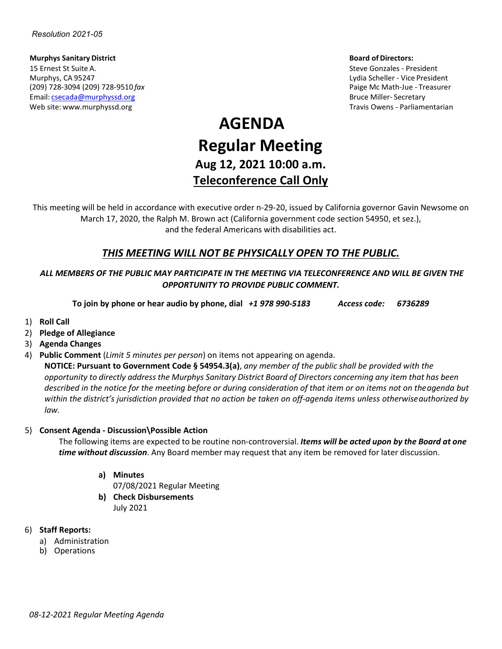**Murphys Sanitary District Board of Directors:** 15 Ernest St Suite A. Steve Gonzales - President Murphys, CA 95247 Lydia Scheller - Vice President (209) 728-3094 (209) 728-9510 *fax* Paige Mc Math-Jue - Treasurer Email: [csecada@murphyssd.org](mailto:csecada@murphyssd.org) Bruce Miller- Secretary and Bruce Miller- Secretary Web site: [www.murphyssd.org](http://www.murphyssd.org/) Travis Owens - Parliamentarian Communisty Communisty Communisty Communisty Communisty Communisty Communisty Communisty Communisty Communisty Communisty Communisty Communisty Communisty Communist

# **AGENDA Regular Meeting Aug 12, 2021 10:00 a.m. Teleconference Call Only**

This meeting will be held in accordance with executive order n-29-20, issued by California governor Gavin Newsome on March 17, 2020, the Ralph M. Brown act (California government code section 54950, et sez.), and the federal Americans with disabilities act.

# *THIS MEETING WILL NOT BE PHYSICALLY OPEN TO THE PUBLIC.*

## *ALL MEMBERS OF THE PUBLIC MAY PARTICIPATE IN THE MEETING VIA TELECONFERENCE AND WILL BE GIVEN THE OPPORTUNITY TO PROVIDE PUBLIC COMMENT.*

**To join by phone or hear audio by phone, dial** *+1 978 990-5183 Access code: 6736289*

- 1) **Roll Call**
- 2) **Pledge of Allegiance**
- 3) **Agenda Changes**
- 4) **Public Comment** (*Limit 5 minutes per person*) on items not appearing on agenda.

**NOTICE: Pursuant to Government Code § 54954.3(a)**, *any member of the public shall be provided with the* opportunity to directly address the Murphys Sanitary District Board of Directors concerning any item that has been *described in the notice for the meeting before or during consideration of that item or on items not on theagenda but within the district's jurisdiction provided that no action be taken on off-agenda items unless otherwiseauthorized by law.*

#### 5) **Consent Agenda - Discussion\Possible Action**

The following items are expected to be routine non-controversial. *Items will be acted upon by the Board at one time without discussion*. Any Board member may request that any item be removed for later discussion.

- **a) Minutes**
	- 07/08/2021 Regular Meeting
- **b) Check Disbursements** July 2021

#### 6) **Staff Reports:**

- a) Administration
- b) Operations